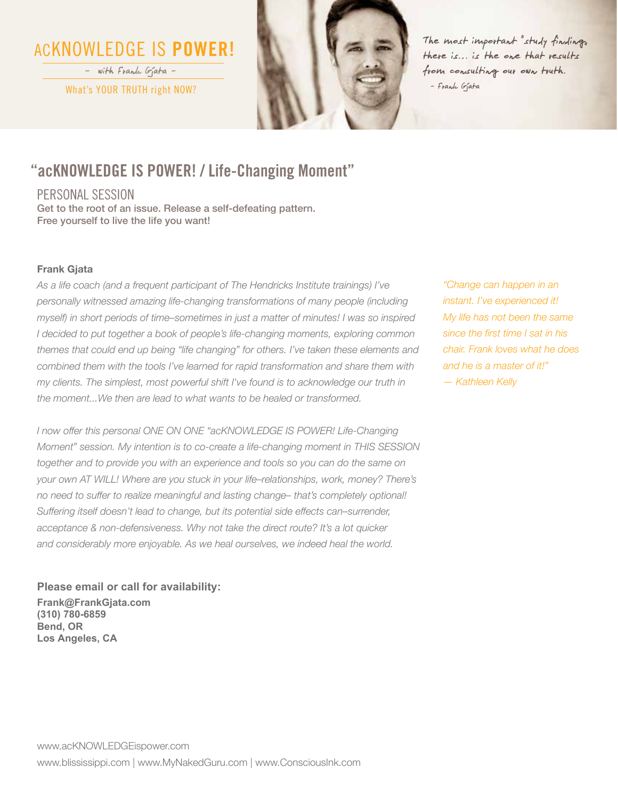# ACKNOWLEDGE IS **POWER!**

What's YOUR TRUTH right NOW? – with Frank Gjata –



The most important "study finding" there is… is the one that results from consulting our own truth. – Frank Gjata

### **"acKNOWLEDGE IS POWER! / Life-Changing Moment"**

PERSONAL SESSION

Get to the root of an issue. Release a self-defeating pattern. Free yourself to live the life you want!

#### **Frank Gjata**

*As a life coach (and a frequent participant of The Hendricks Institute trainings) I've personally witnessed amazing life-changing transformations of many people (including myself) in short periods of time–sometimes in just a matter of minutes! I was so inspired I* decided to put together a book of people's life-changing moments, exploring common *themes that could end up being "life changing" for others. I've taken these elements and combined them with the tools I've learned for rapid transformation and share them with my clients. The simplest, most powerful shift I've found is to acknowledge our truth in the moment...We then are lead to what wants to be healed or transformed.*

*I now offer this personal ONE ON ONE "acKNOWLEDGE IS POWER! Life-Changing Moment" session. My intention is to co-create a life-changing moment in THIS SESSION together and to provide you with an experience and tools so you can do the same on your own AT WILL! Where are you stuck in your life–relationships, work, money? There's no need to suffer to realize meaningful and lasting change– that's completely optional! Suffering itself doesn't lead to change, but its potential side effects can–surrender, acceptance & non-defensiveness. Why not take the direct route? It's a lot quicker and considerably more enjoyable. As we heal ourselves, we indeed heal the world.*

**Please email or call for availability: Frank@FrankGjata.com (310) 780-6859 Bend, OR Los Angeles, CA** 

*"Change can happen in an instant. I've experienced it! My life has not been the same since the first time I sat in his chair. Frank loves what he does and he is a master of it!" — Kathleen Kelly*